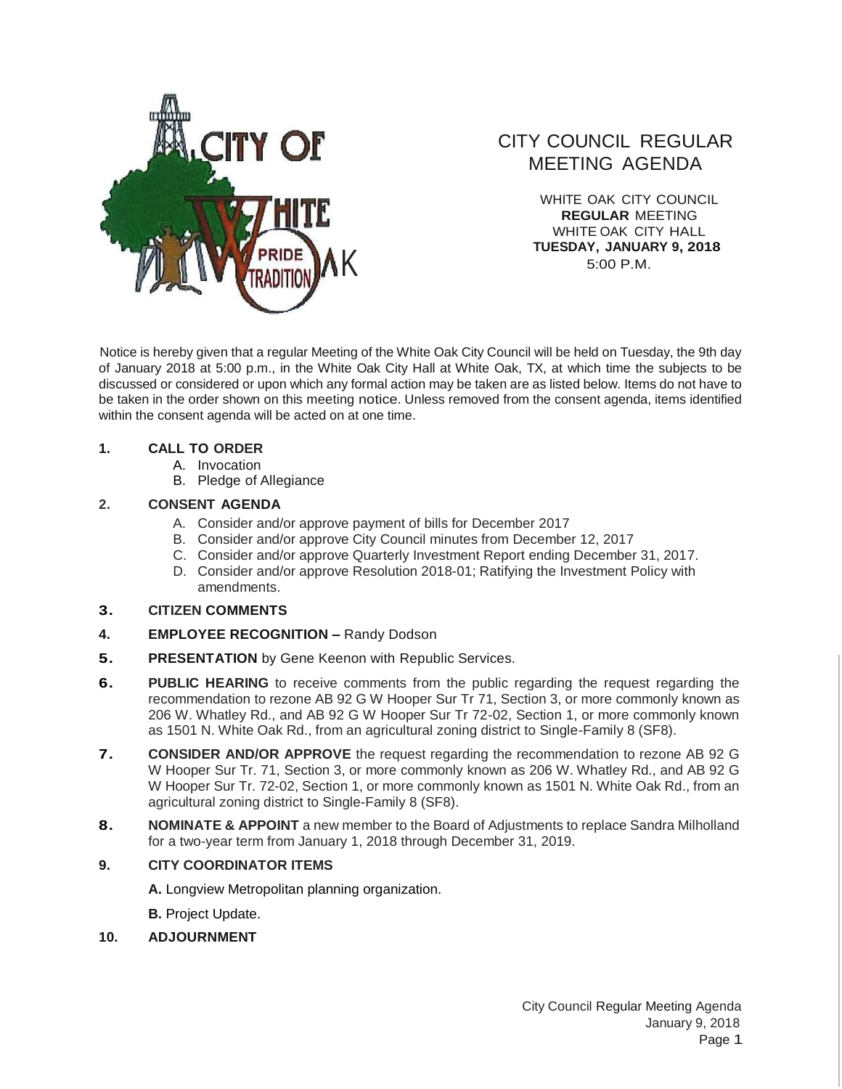

# CITY COUNCIL REGULAR MEETING AGENDA

WHITE OAK CITY COUNCIL **REGULAR** MEETING WHITE OAK CITY HALL **TUESDAY, JANUARY 9, 2018** 5:00 P.M.

Notice is hereby given that a regular Meeting of the White Oak City Council will be held on Tuesday, the 9th day of January 2018 at 5:00 p.m., in the White Oak City Hall at White Oak, TX, at which time the subjects to be discussed or considered or upon which any formal action may be taken are as listed below. Items do not have to be taken in the order shown on this meeting notice. Unless removed from the consent agenda, items identified within the consent agenda will be acted on at one time.

### **1. CALL TO ORDER**

- A. Invocation
- B. Pledge of Allegiance

## **2. CONSENT AGENDA**

- A. Consider and/or approve payment of bills for December 2017
- B. Consider and/or approve City Council minutes from December 12, 2017
- C. Consider and/or approve Quarterly Investment Report ending December 31, 2017.
- D. Consider and/or approve Resolution 2018-01; Ratifying the Investment Policy with amendments.

### **3. CITIZEN COMMENTS**

- **4. EMPLOYEE RECOGNITION –** Randy Dodson
- **5.** PRESENTATION by Gene Keenon with Republic Services.
- **6.** PUBLIC HEARING to receive comments from the public regarding the request regarding the recommendation to rezone AB 92 G W Hooper Sur Tr 71, Section 3, or more commonly known as 206 W. Whatley Rd., and AB 92 G W Hooper Sur Tr 72-02, Section 1, or more commonly known as 1501 N. White Oak Rd., from an agricultural zoning district to Single-Family 8 (SF8).
- **7. CONSIDER AND/OR APPROVE** the request regarding the recommendation to rezone AB 92 G W Hooper Sur Tr. 71, Section 3, or more commonly known as 206 W. Whatley Rd., and AB 92 G W Hooper Sur Tr. 72-02, Section 1, or more commonly known as 1501 N. White Oak Rd., from an agricultural zoning district to Single-Family 8 (SF8).
- **8. NOMINATE & APPOINT** a new member to the Board of Adjustments to replace Sandra Milholland for a two-year term from January 1, 2018 through December 31, 2019.

## **9. CITY COORDINATOR ITEMS**

**A.** Longview Metropolitan planning organization.

**B.** Project Update.

### **10. ADJOURNMENT**